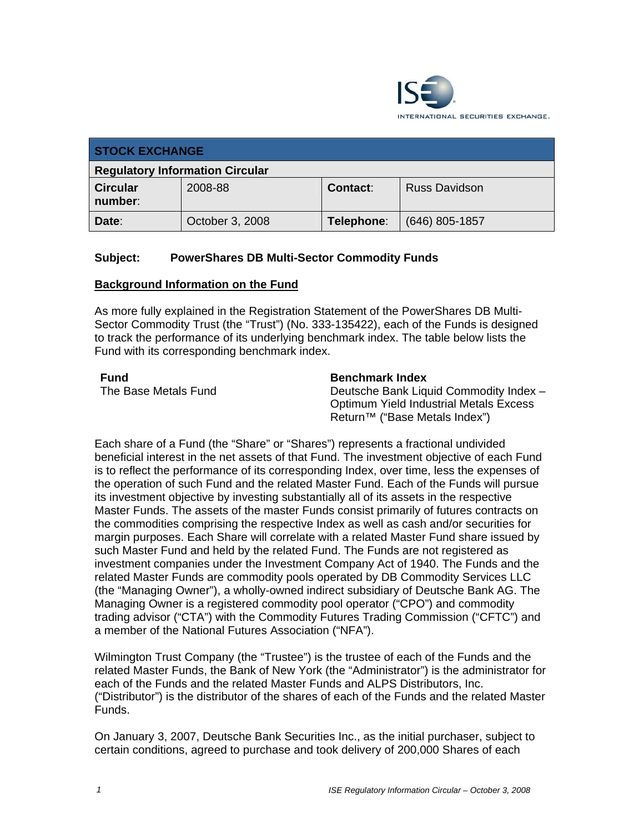

| <b>STOCK EXCHANGE</b>                  |                 |            |                      |  |
|----------------------------------------|-----------------|------------|----------------------|--|
| <b>Regulatory Information Circular</b> |                 |            |                      |  |
| <b>Circular</b><br>number:             | 2008-88         | Contact:   | <b>Russ Davidson</b> |  |
| Date:                                  | October 3, 2008 | Telephone: | $(646)$ 805-1857     |  |

## **Subject: PowerShares DB Multi-Sector Commodity Funds**

#### **Background Information on the Fund**

As more fully explained in the Registration Statement of the PowerShares DB Multi-Sector Commodity Trust (the "Trust") (No. 333-135422), each of the Funds is designed to track the performance of its underlying benchmark index. The table below lists the Fund with its corresponding benchmark index.

| Fund                |  |
|---------------------|--|
| The Base Metals Fun |  |

#### **Benchmark Index**

d Beutsche Bank Liquid Commodity Index – Optimum Yield Industrial Metals Excess Return™ ("Base Metals Index")

Each share of a Fund (the "Share" or "Shares") represents a fractional undivided beneficial interest in the net assets of that Fund. The investment objective of each Fund is to reflect the performance of its corresponding Index, over time, less the expenses of the operation of such Fund and the related Master Fund. Each of the Funds will pursue its investment objective by investing substantially all of its assets in the respective Master Funds. The assets of the master Funds consist primarily of futures contracts on the commodities comprising the respective Index as well as cash and/or securities for margin purposes. Each Share will correlate with a related Master Fund share issued by such Master Fund and held by the related Fund. The Funds are not registered as investment companies under the Investment Company Act of 1940. The Funds and the related Master Funds are commodity pools operated by DB Commodity Services LLC (the "Managing Owner"), a wholly-owned indirect subsidiary of Deutsche Bank AG. The Managing Owner is a registered commodity pool operator ("CPO") and commodity trading advisor ("CTA") with the Commodity Futures Trading Commission ("CFTC") and a member of the National Futures Association ("NFA").

Wilmington Trust Company (the "Trustee") is the trustee of each of the Funds and the related Master Funds, the Bank of New York (the "Administrator") is the administrator for each of the Funds and the related Master Funds and ALPS Distributors, Inc. ("Distributor") is the distributor of the shares of each of the Funds and the related Master Funds.

On January 3, 2007, Deutsche Bank Securities Inc., as the initial purchaser, subject to certain conditions, agreed to purchase and took delivery of 200,000 Shares of each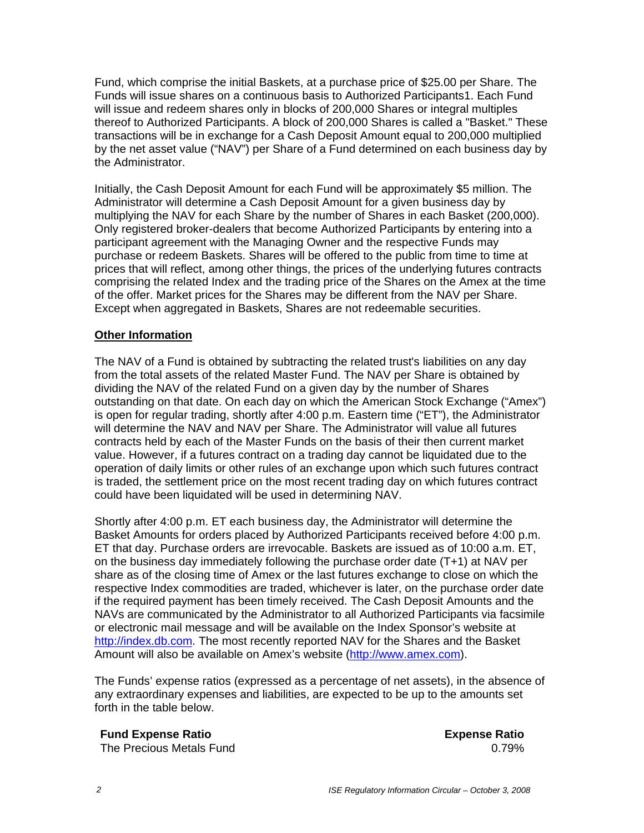Fund, which comprise the initial Baskets, at a purchase price of \$25.00 per Share. The Funds will issue shares on a continuous basis to Authorized Participants1. Each Fund will issue and redeem shares only in blocks of 200,000 Shares or integral multiples thereof to Authorized Participants. A block of 200,000 Shares is called a "Basket." These transactions will be in exchange for a Cash Deposit Amount equal to 200,000 multiplied by the net asset value ("NAV") per Share of a Fund determined on each business day by the Administrator.

Initially, the Cash Deposit Amount for each Fund will be approximately \$5 million. The Administrator will determine a Cash Deposit Amount for a given business day by multiplying the NAV for each Share by the number of Shares in each Basket (200,000). Only registered broker-dealers that become Authorized Participants by entering into a participant agreement with the Managing Owner and the respective Funds may purchase or redeem Baskets. Shares will be offered to the public from time to time at prices that will reflect, among other things, the prices of the underlying futures contracts comprising the related Index and the trading price of the Shares on the Amex at the time of the offer. Market prices for the Shares may be different from the NAV per Share. Except when aggregated in Baskets, Shares are not redeemable securities.

### **Other Information**

The NAV of a Fund is obtained by subtracting the related trust's liabilities on any day from the total assets of the related Master Fund. The NAV per Share is obtained by dividing the NAV of the related Fund on a given day by the number of Shares outstanding on that date. On each day on which the American Stock Exchange ("Amex") is open for regular trading, shortly after 4:00 p.m. Eastern time ("ET"), the Administrator will determine the NAV and NAV per Share. The Administrator will value all futures contracts held by each of the Master Funds on the basis of their then current market value. However, if a futures contract on a trading day cannot be liquidated due to the operation of daily limits or other rules of an exchange upon which such futures contract is traded, the settlement price on the most recent trading day on which futures contract could have been liquidated will be used in determining NAV.

Shortly after 4:00 p.m. ET each business day, the Administrator will determine the Basket Amounts for orders placed by Authorized Participants received before 4:00 p.m. ET that day. Purchase orders are irrevocable. Baskets are issued as of 10:00 a.m. ET, on the business day immediately following the purchase order date (T+1) at NAV per share as of the closing time of Amex or the last futures exchange to close on which the respective Index commodities are traded, whichever is later, on the purchase order date if the required payment has been timely received. The Cash Deposit Amounts and the NAVs are communicated by the Administrator to all Authorized Participants via facsimile or electronic mail message and will be available on the Index Sponsor's website at http://index.db.com. The most recently reported NAV for the Shares and the Basket Amount will also be available on Amex's website (http://www.amex.com).

The Funds' expense ratios (expressed as a percentage of net assets), in the absence of any extraordinary expenses and liabilities, are expected to be up to the amounts set forth in the table below.

#### **Fund Expense Ratio Expense Ratio**

The Precious Metals Fund **Contract Contract Contract Contract Contract Contract Contract Contract Contract Contract Contract Contract Contract Contract Contract Contract Contract Contract Contract Contract Contract Contrac**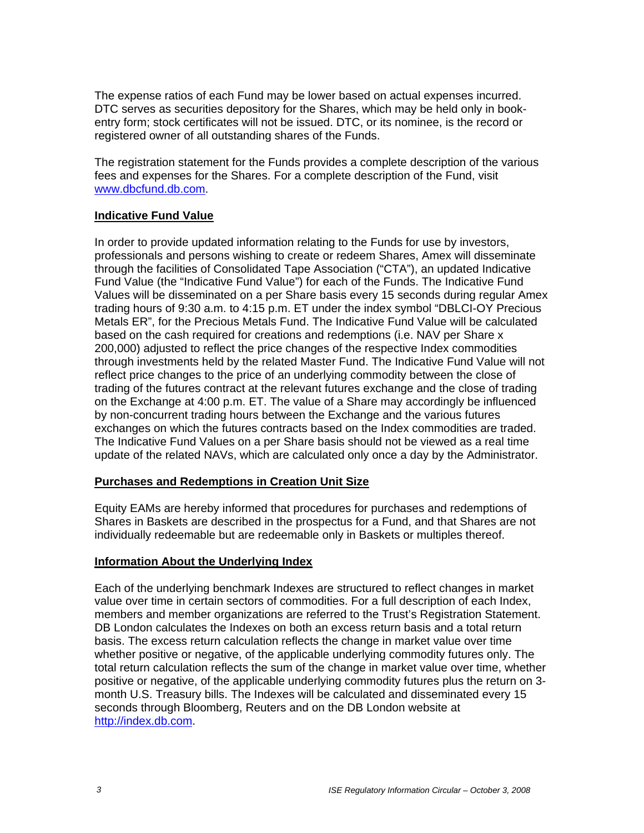The expense ratios of each Fund may be lower based on actual expenses incurred. DTC serves as securities depository for the Shares, which may be held only in bookentry form; stock certificates will not be issued. DTC, or its nominee, is the record or registered owner of all outstanding shares of the Funds.

The registration statement for the Funds provides a complete description of the various fees and expenses for the Shares. For a complete description of the Fund, visit www.dbcfund.db.com.

#### **Indicative Fund Value**

In order to provide updated information relating to the Funds for use by investors, professionals and persons wishing to create or redeem Shares, Amex will disseminate through the facilities of Consolidated Tape Association ("CTA"), an updated Indicative Fund Value (the "Indicative Fund Value") for each of the Funds. The Indicative Fund Values will be disseminated on a per Share basis every 15 seconds during regular Amex trading hours of 9:30 a.m. to 4:15 p.m. ET under the index symbol "DBLCI-OY Precious Metals ER", for the Precious Metals Fund. The Indicative Fund Value will be calculated based on the cash required for creations and redemptions (i.e. NAV per Share x 200,000) adjusted to reflect the price changes of the respective Index commodities through investments held by the related Master Fund. The Indicative Fund Value will not reflect price changes to the price of an underlying commodity between the close of trading of the futures contract at the relevant futures exchange and the close of trading on the Exchange at 4:00 p.m. ET. The value of a Share may accordingly be influenced by non-concurrent trading hours between the Exchange and the various futures exchanges on which the futures contracts based on the Index commodities are traded. The Indicative Fund Values on a per Share basis should not be viewed as a real time update of the related NAVs, which are calculated only once a day by the Administrator.

### **Purchases and Redemptions in Creation Unit Size**

Equity EAMs are hereby informed that procedures for purchases and redemptions of Shares in Baskets are described in the prospectus for a Fund, and that Shares are not individually redeemable but are redeemable only in Baskets or multiples thereof.

#### **Information About the Underlying Index**

Each of the underlying benchmark Indexes are structured to reflect changes in market value over time in certain sectors of commodities. For a full description of each Index, members and member organizations are referred to the Trust's Registration Statement. DB London calculates the Indexes on both an excess return basis and a total return basis. The excess return calculation reflects the change in market value over time whether positive or negative, of the applicable underlying commodity futures only. The total return calculation reflects the sum of the change in market value over time, whether positive or negative, of the applicable underlying commodity futures plus the return on 3 month U.S. Treasury bills. The Indexes will be calculated and disseminated every 15 seconds through Bloomberg, Reuters and on the DB London website at http://index.db.com.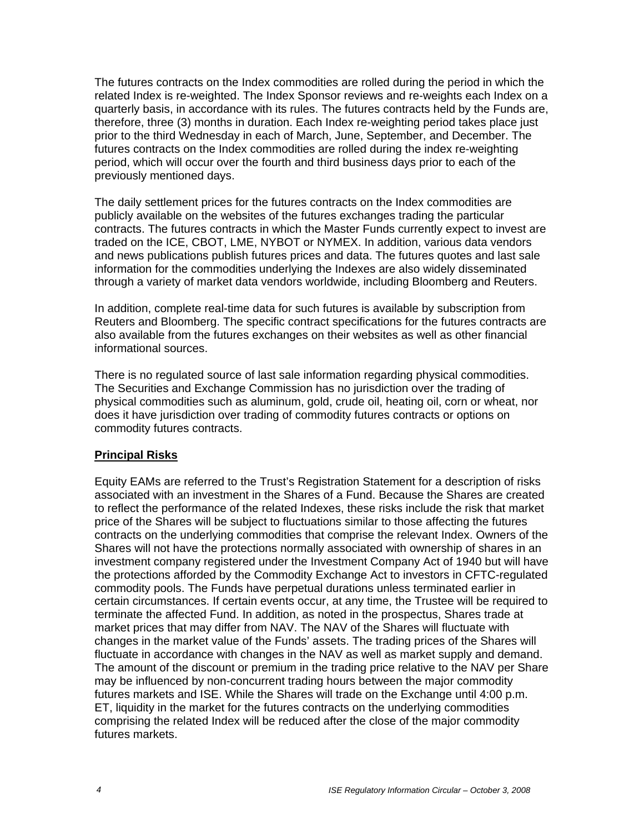The futures contracts on the Index commodities are rolled during the period in which the related Index is re-weighted. The Index Sponsor reviews and re-weights each Index on a quarterly basis, in accordance with its rules. The futures contracts held by the Funds are, therefore, three (3) months in duration. Each Index re-weighting period takes place just prior to the third Wednesday in each of March, June, September, and December. The futures contracts on the Index commodities are rolled during the index re-weighting period, which will occur over the fourth and third business days prior to each of the previously mentioned days.

The daily settlement prices for the futures contracts on the Index commodities are publicly available on the websites of the futures exchanges trading the particular contracts. The futures contracts in which the Master Funds currently expect to invest are traded on the ICE, CBOT, LME, NYBOT or NYMEX. In addition, various data vendors and news publications publish futures prices and data. The futures quotes and last sale information for the commodities underlying the Indexes are also widely disseminated through a variety of market data vendors worldwide, including Bloomberg and Reuters.

In addition, complete real-time data for such futures is available by subscription from Reuters and Bloomberg. The specific contract specifications for the futures contracts are also available from the futures exchanges on their websites as well as other financial informational sources.

There is no regulated source of last sale information regarding physical commodities. The Securities and Exchange Commission has no jurisdiction over the trading of physical commodities such as aluminum, gold, crude oil, heating oil, corn or wheat, nor does it have jurisdiction over trading of commodity futures contracts or options on commodity futures contracts.

### **Principal Risks**

Equity EAMs are referred to the Trust's Registration Statement for a description of risks associated with an investment in the Shares of a Fund. Because the Shares are created to reflect the performance of the related Indexes, these risks include the risk that market price of the Shares will be subject to fluctuations similar to those affecting the futures contracts on the underlying commodities that comprise the relevant Index. Owners of the Shares will not have the protections normally associated with ownership of shares in an investment company registered under the Investment Company Act of 1940 but will have the protections afforded by the Commodity Exchange Act to investors in CFTC-regulated commodity pools. The Funds have perpetual durations unless terminated earlier in certain circumstances. If certain events occur, at any time, the Trustee will be required to terminate the affected Fund. In addition, as noted in the prospectus, Shares trade at market prices that may differ from NAV. The NAV of the Shares will fluctuate with changes in the market value of the Funds' assets. The trading prices of the Shares will fluctuate in accordance with changes in the NAV as well as market supply and demand. The amount of the discount or premium in the trading price relative to the NAV per Share may be influenced by non-concurrent trading hours between the major commodity futures markets and ISE. While the Shares will trade on the Exchange until 4:00 p.m. ET, liquidity in the market for the futures contracts on the underlying commodities comprising the related Index will be reduced after the close of the major commodity futures markets.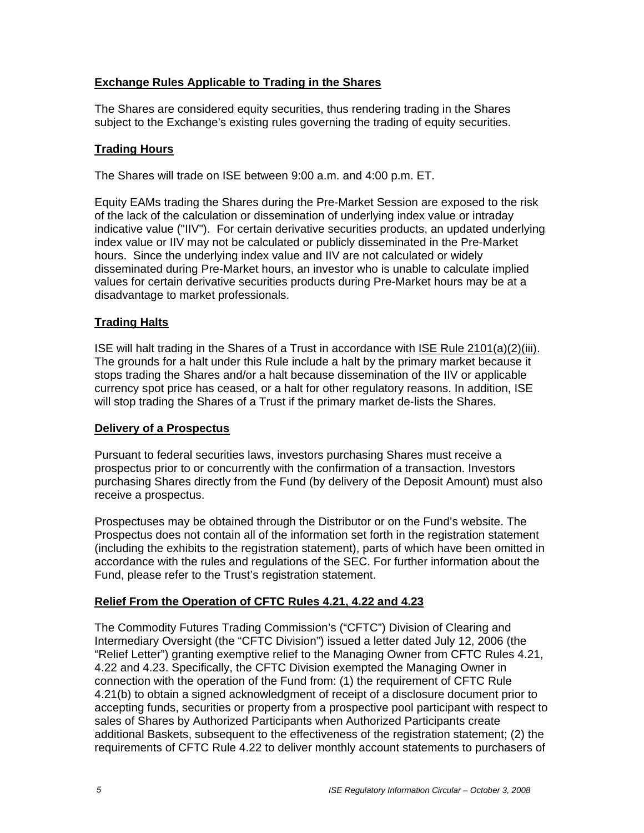## **Exchange Rules Applicable to Trading in the Shares**

The Shares are considered equity securities, thus rendering trading in the Shares subject to the Exchange's existing rules governing the trading of equity securities.

## **Trading Hours**

The Shares will trade on ISE between 9:00 a.m. and 4:00 p.m. ET.

Equity EAMs trading the Shares during the Pre-Market Session are exposed to the risk of the lack of the calculation or dissemination of underlying index value or intraday indicative value ("IIV"). For certain derivative securities products, an updated underlying index value or IIV may not be calculated or publicly disseminated in the Pre-Market hours. Since the underlying index value and IIV are not calculated or widely disseminated during Pre-Market hours, an investor who is unable to calculate implied values for certain derivative securities products during Pre-Market hours may be at a disadvantage to market professionals.

## **Trading Halts**

ISE will halt trading in the Shares of a Trust in accordance with ISE Rule 2101(a)(2)(iii). The grounds for a halt under this Rule include a halt by the primary market because it stops trading the Shares and/or a halt because dissemination of the IIV or applicable currency spot price has ceased, or a halt for other regulatory reasons. In addition, ISE will stop trading the Shares of a Trust if the primary market de-lists the Shares.

### **Delivery of a Prospectus**

Pursuant to federal securities laws, investors purchasing Shares must receive a prospectus prior to or concurrently with the confirmation of a transaction. Investors purchasing Shares directly from the Fund (by delivery of the Deposit Amount) must also receive a prospectus.

Prospectuses may be obtained through the Distributor or on the Fund's website. The Prospectus does not contain all of the information set forth in the registration statement (including the exhibits to the registration statement), parts of which have been omitted in accordance with the rules and regulations of the SEC. For further information about the Fund, please refer to the Trust's registration statement.

# **Relief From the Operation of CFTC Rules 4.21, 4.22 and 4.23**

The Commodity Futures Trading Commission's ("CFTC") Division of Clearing and Intermediary Oversight (the "CFTC Division") issued a letter dated July 12, 2006 (the "Relief Letter") granting exemptive relief to the Managing Owner from CFTC Rules 4.21, 4.22 and 4.23. Specifically, the CFTC Division exempted the Managing Owner in connection with the operation of the Fund from: (1) the requirement of CFTC Rule 4.21(b) to obtain a signed acknowledgment of receipt of a disclosure document prior to accepting funds, securities or property from a prospective pool participant with respect to sales of Shares by Authorized Participants when Authorized Participants create additional Baskets, subsequent to the effectiveness of the registration statement; (2) the requirements of CFTC Rule 4.22 to deliver monthly account statements to purchasers of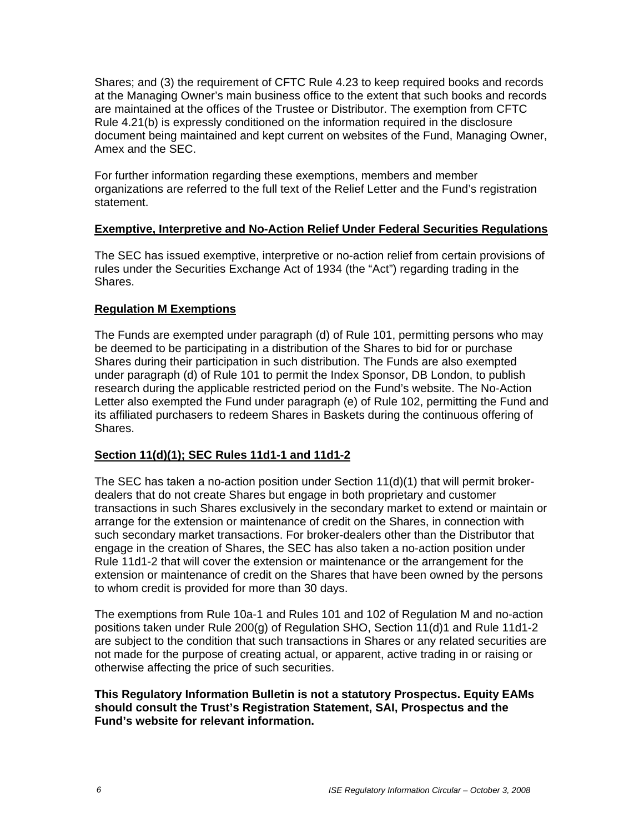Shares; and (3) the requirement of CFTC Rule 4.23 to keep required books and records at the Managing Owner's main business office to the extent that such books and records are maintained at the offices of the Trustee or Distributor. The exemption from CFTC Rule 4.21(b) is expressly conditioned on the information required in the disclosure document being maintained and kept current on websites of the Fund, Managing Owner, Amex and the SEC.

For further information regarding these exemptions, members and member organizations are referred to the full text of the Relief Letter and the Fund's registration statement.

## **Exemptive, Interpretive and No-Action Relief Under Federal Securities Regulations**

The SEC has issued exemptive, interpretive or no-action relief from certain provisions of rules under the Securities Exchange Act of 1934 (the "Act") regarding trading in the Shares.

# **Regulation M Exemptions**

The Funds are exempted under paragraph (d) of Rule 101, permitting persons who may be deemed to be participating in a distribution of the Shares to bid for or purchase Shares during their participation in such distribution. The Funds are also exempted under paragraph (d) of Rule 101 to permit the Index Sponsor, DB London, to publish research during the applicable restricted period on the Fund's website. The No-Action Letter also exempted the Fund under paragraph (e) of Rule 102, permitting the Fund and its affiliated purchasers to redeem Shares in Baskets during the continuous offering of Shares.

# **Section 11(d)(1); SEC Rules 11d1-1 and 11d1-2**

The SEC has taken a no-action position under Section 11(d)(1) that will permit brokerdealers that do not create Shares but engage in both proprietary and customer transactions in such Shares exclusively in the secondary market to extend or maintain or arrange for the extension or maintenance of credit on the Shares, in connection with such secondary market transactions. For broker-dealers other than the Distributor that engage in the creation of Shares, the SEC has also taken a no-action position under Rule 11d1-2 that will cover the extension or maintenance or the arrangement for the extension or maintenance of credit on the Shares that have been owned by the persons to whom credit is provided for more than 30 days.

The exemptions from Rule 10a-1 and Rules 101 and 102 of Regulation M and no-action positions taken under Rule 200(g) of Regulation SHO, Section 11(d)1 and Rule 11d1-2 are subject to the condition that such transactions in Shares or any related securities are not made for the purpose of creating actual, or apparent, active trading in or raising or otherwise affecting the price of such securities.

#### **This Regulatory Information Bulletin is not a statutory Prospectus. Equity EAMs should consult the Trust's Registration Statement, SAI, Prospectus and the Fund's website for relevant information.**